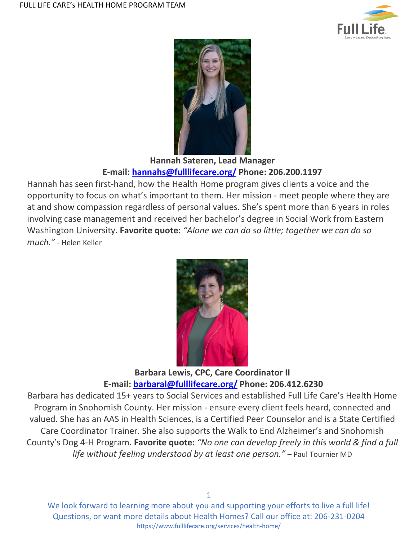



**Hannah Sateren, Lead Manager**

## **E-mail: [hannahs@fulllifecare.org/](mailto:hannahs@fulllifecare.org/) Phone: 206.200.1197**

Hannah has seen first-hand, how the Health Home program gives clients a voice and the opportunity to focus on what's important to them. Her mission - meet people where they are at and show compassion regardless of personal values. She's spent more than 6 years in roles involving case management and received her bachelor's degree in Social Work from Eastern Washington University. **Favorite quote:** *"Alone we can do so little; together we can do so much."* - Helen Keller



## **Barbara Lewis, CPC, Care Coordinator II E-mail: [barbaral@fulllifecare.org/](mailto:barbaral@fulllifecare.org/) Phone: 206.412.6230**

Barbara has dedicated 15+ years to Social Services and established Full Life Care's Health Home Program in Snohomish County. Her mission - ensure every client feels heard, connected and valued. She has an AAS in Health Sciences, is a Certified Peer Counselor and is a State Certified Care Coordinator Trainer. She also supports the Walk to End Alzheimer's and Snohomish County's Dog 4-H Program. **Favorite quote:** *"No one can develop freely in this world & find a full life without feeling understood by at least one person."* – Paul Tournier MD

We look forward to learning more about you and supporting your efforts to live a full life! Questions, or want more details about Health Homes? Call our office at: 206-231-0204 https://www.fulllifecare.org/services/health-home/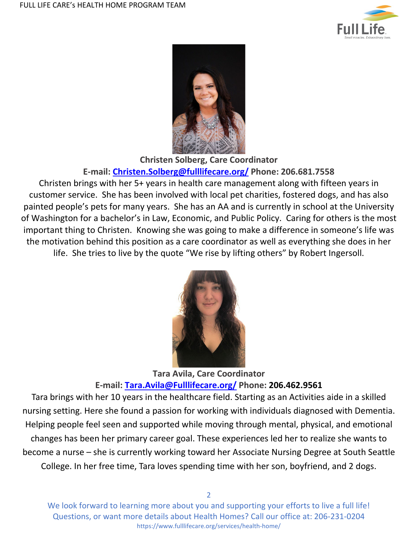



**Christen Solberg, Care Coordinator**

**E-mail: [Christen.Solberg@fulllifecare.org/](mailto:Christen.Solberg@fulllifecare.org/) Phone: 206.681.7558**

Christen brings with her 5+ years in health care management along with fifteen years in customer service. She has been involved with local pet charities, fostered dogs, and has also painted people's pets for many years. She has an AA and is currently in school at the University of Washington for a bachelor's in Law, Economic, and Public Policy. Caring for others is the most important thing to Christen. Knowing she was going to make a difference in someone's life was the motivation behind this position as a care coordinator as well as everything she does in her life. She tries to live by the quote "We rise by lifting others" by Robert Ingersoll.



**Tara Avila, Care Coordinator E-mail: [Tara.Avila@Fulllifecare.org/](mailto:Tara.Avila@Fulllifecare.org/) Phone: 206.462.9561**

Tara brings with her 10 years in the healthcare field. Starting as an Activities aide in a skilled nursing setting. Here she found a passion for working with individuals diagnosed with Dementia. Helping people feel seen and supported while moving through mental, physical, and emotional changes has been her primary career goal. These experiences led her to realize she wants to become a nurse – she is currently working toward her Associate Nursing Degree at South Seattle College. In her free time, Tara loves spending time with her son, boyfriend, and 2 dogs.

We look forward to learning more about you and supporting your efforts to live a full life! Questions, or want more details about Health Homes? Call our office at: 206-231-0204 https://www.fulllifecare.org/services/health-home/